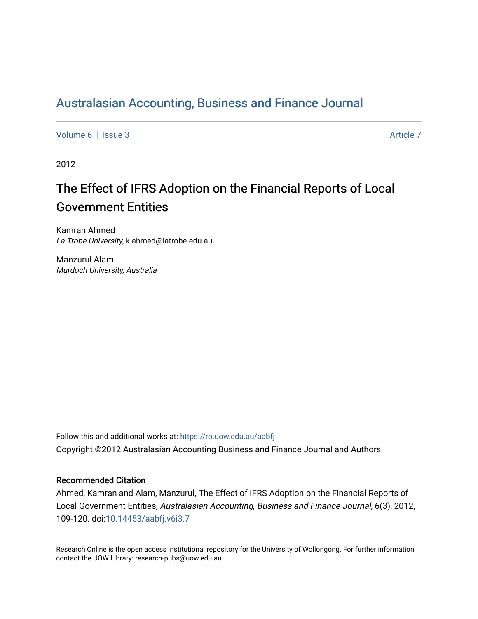## [Australasian Accounting, Business and Finance Journal](https://ro.uow.edu.au/aabfj)

[Volume 6](https://ro.uow.edu.au/aabfj/vol6) | [Issue 3](https://ro.uow.edu.au/aabfj/vol6/iss3) Article 7

2012

# The Effect of IFRS Adoption on the Financial Reports of Local Government Entities

Kamran Ahmed La Trobe University, k.ahmed@latrobe.edu.au

Manzurul Alam Murdoch University, Australia

Follow this and additional works at: [https://ro.uow.edu.au/aabfj](https://ro.uow.edu.au/aabfj?utm_source=ro.uow.edu.au%2Faabfj%2Fvol6%2Fiss3%2F7&utm_medium=PDF&utm_campaign=PDFCoverPages) Copyright ©2012 Australasian Accounting Business and Finance Journal and Authors.

#### Recommended Citation

Ahmed, Kamran and Alam, Manzurul, The Effect of IFRS Adoption on the Financial Reports of Local Government Entities, Australasian Accounting, Business and Finance Journal, 6(3), 2012, 109-120. doi:[10.14453/aabfj.v6i3.7](http://dx.doi.org/10.14453/aabfj.v6i3.7) 

Research Online is the open access institutional repository for the University of Wollongong. For further information contact the UOW Library: research-pubs@uow.edu.au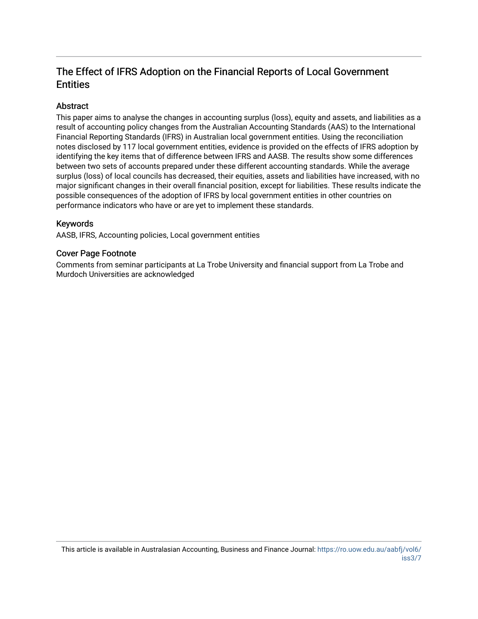### The Effect of IFRS Adoption on the Financial Reports of Local Government **Entities**

#### **Abstract**

This paper aims to analyse the changes in accounting surplus (loss), equity and assets, and liabilities as a result of accounting policy changes from the Australian Accounting Standards (AAS) to the International Financial Reporting Standards (IFRS) in Australian local government entities. Using the reconciliation notes disclosed by 117 local government entities, evidence is provided on the effects of IFRS adoption by identifying the key items that of difference between IFRS and AASB. The results show some differences between two sets of accounts prepared under these different accounting standards. While the average surplus (loss) of local councils has decreased, their equities, assets and liabilities have increased, with no major significant changes in their overall financial position, except for liabilities. These results indicate the possible consequences of the adoption of IFRS by local government entities in other countries on performance indicators who have or are yet to implement these standards.

#### Keywords

AASB, IFRS, Accounting policies, Local government entities

#### Cover Page Footnote

Comments from seminar participants at La Trobe University and financial support from La Trobe and Murdoch Universities are acknowledged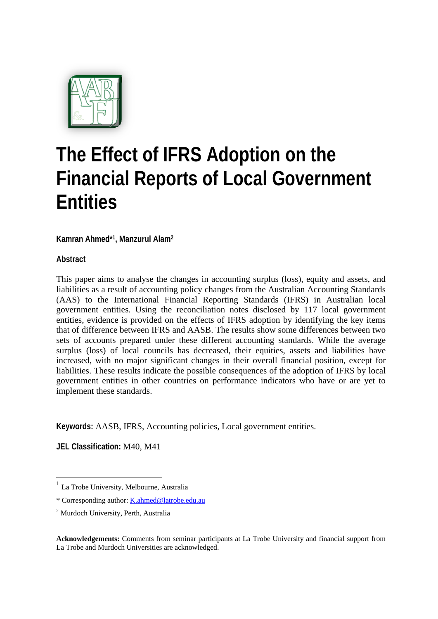

# **The Effect of IFRS Adoption on the Financial Reports of Local Government Entities**

**Kamran Ahmed\*1, Manzurul Alam2**

**Abstract** 

This paper aims to analyse the changes in accounting surplus (loss), equity and assets, and liabilities as a result of accounting policy changes from the Australian Accounting Standards (AAS) to the International Financial Reporting Standards (IFRS) in Australian local government entities. Using the reconciliation notes disclosed by 117 local government entities, evidence is provided on the effects of IFRS adoption by identifying the key items that of difference between IFRS and AASB. The results show some differences between two sets of accounts prepared under these different accounting standards. While the average surplus (loss) of local councils has decreased, their equities, assets and liabilities have increased, with no major significant changes in their overall financial position, except for liabilities. These results indicate the possible consequences of the adoption of IFRS by local government entities in other countries on performance indicators who have or are yet to implement these standards.

**Keywords:** AASB, IFRS, Accounting policies, Local government entities.

**JEL Classification:** M40, M41

1

 $<sup>1</sup>$  La Trobe University, Melbourne, Australia</sup>

<sup>\*</sup> Corresponding author: K.ahmed@latrobe.edu.au

<sup>2</sup> Murdoch University, Perth, Australia

**Acknowledgements:** Comments from seminar participants at La Trobe University and financial support from La Trobe and Murdoch Universities are acknowledged.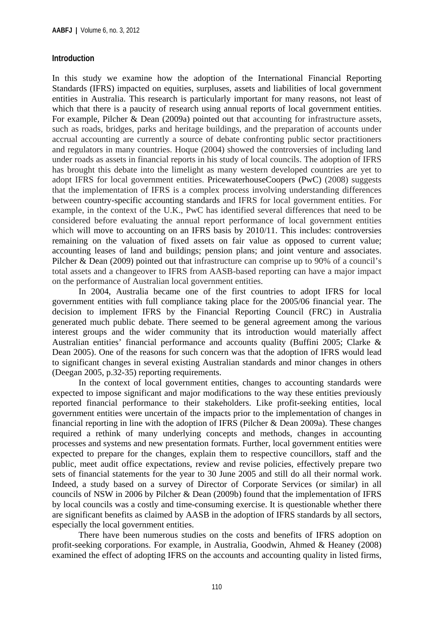#### **Introduction**

In this study we examine how the adoption of the International Financial Reporting Standards (IFRS) impacted on equities, surpluses, assets and liabilities of local government entities in Australia. This research is particularly important for many reasons, not least of which that there is a paucity of research using annual reports of local government entities. For example, Pilcher & Dean (2009a) pointed out that accounting for infrastructure assets, such as roads, bridges, parks and heritage buildings, and the preparation of accounts under accrual accounting are currently a source of debate confronting public sector practitioners and regulators in many countries. Hoque (2004) showed the controversies of including land under roads as assets in financial reports in his study of local councils. The adoption of IFRS has brought this debate into the limelight as many western developed countries are yet to adopt IFRS for local government entities. PricewaterhouseCoopers (PwC) (2008) suggests that the implementation of IFRS is a complex process involving understanding differences between country-specific accounting standards and IFRS for local government entities. For example, in the context of the U.K., PwC has identified several differences that need to be considered before evaluating the annual report performance of local government entities which will move to accounting on an IFRS basis by 2010/11. This includes: controversies remaining on the valuation of fixed assets on fair value as opposed to current value; accounting leases of land and buildings; pension plans; and joint venture and associates. Pilcher & Dean (2009) pointed out that infrastructure can comprise up to 90% of a council's total assets and a changeover to IFRS from AASB-based reporting can have a major impact on the performance of Australian local government entities.

In 2004, Australia became one of the first countries to adopt IFRS for local government entities with full compliance taking place for the 2005/06 financial year. The decision to implement IFRS by the Financial Reporting Council (FRC) in Australia generated much public debate. There seemed to be general agreement among the various interest groups and the wider community that its introduction would materially affect Australian entities' financial performance and accounts quality (Buffini 2005; Clarke & Dean 2005). One of the reasons for such concern was that the adoption of IFRS would lead to significant changes in several existing Australian standards and minor changes in others (Deegan 2005, p.32-35) reporting requirements.

In the context of local government entities, changes to accounting standards were expected to impose significant and major modifications to the way these entities previously reported financial performance to their stakeholders. Like profit-seeking entities, local government entities were uncertain of the impacts prior to the implementation of changes in financial reporting in line with the adoption of IFRS (Pilcher & Dean 2009a). These changes required a rethink of many underlying concepts and methods, changes in accounting processes and systems and new presentation formats. Further, local government entities were expected to prepare for the changes, explain them to respective councillors, staff and the public, meet audit office expectations, review and revise policies, effectively prepare two sets of financial statements for the year to 30 June 2005 and still do all their normal work. Indeed, a study based on a survey of Director of Corporate Services (or similar) in all councils of NSW in 2006 by Pilcher & Dean (2009b) found that the implementation of IFRS by local councils was a costly and time-consuming exercise. It is questionable whether there are significant benefits as claimed by AASB in the adoption of IFRS standards by all sectors, especially the local government entities.

There have been numerous studies on the costs and benefits of IFRS adoption on profit-seeking corporations. For example, in Australia, Goodwin, Ahmed & Heaney (2008) examined the effect of adopting IFRS on the accounts and accounting quality in listed firms,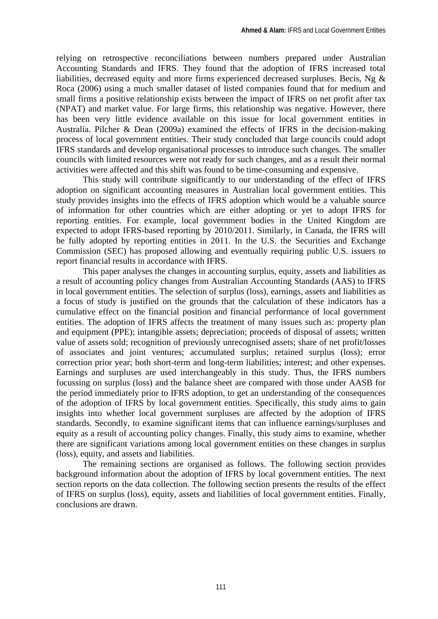relying on retrospective reconciliations between numbers prepared under Australian Accounting Standards and IFRS. They found that the adoption of IFRS increased total liabilities, decreased equity and more firms experienced decreased surpluses. Becis, Ng & Roca (2006) using a much smaller dataset of listed companies found that for medium and small firms a positive relationship exists between the impact of IFRS on net profit after tax (NPAT) and market value. For large firms, this relationship was negative. However, there has been very little evidence available on this issue for local government entities in Australia. Pilcher & Dean (2009a) examined the effects of IFRS in the decision-making process of local government entities. Their study concluded that large councils could adopt IFRS standards and develop organisational processes to introduce such changes. The smaller councils with limited resources were not ready for such changes, and as a result their normal activities were affected and this shift was found to be time-consuming and expensive.

This study will contribute significantly to our understanding of the effect of IFRS adoption on significant accounting measures in Australian local government entities. This study provides insights into the effects of IFRS adoption which would be a valuable source of information for other countries which are either adopting or yet to adopt IFRS for reporting entities. For example, local government bodies in the United Kingdom are expected to adopt IFRS-based reporting by 2010/2011. Similarly, in Canada, the IFRS will be fully adopted by reporting entities in 2011. In the U.S. the Securities and Exchange Commission (SEC) has proposed allowing and eventually requiring public U.S. issuers to report financial results in accordance with IFRS.

This paper analyses the changes in accounting surplus, equity, assets and liabilities as a result of accounting policy changes from Australian Accounting Standards (AAS) to IFRS in local government entities. The selection of surplus (loss), earnings, assets and liabilities as a focus of study is justified on the grounds that the calculation of these indicators has a cumulative effect on the financial position and financial performance of local government entities. The adoption of IFRS affects the treatment of many issues such as: property plan and equipment (PPE); intangible assets; depreciation; proceeds of disposal of assets; written value of assets sold; recognition of previously unrecognised assets; share of net profit/losses of associates and joint ventures; accumulated surplus; retained surplus (loss); error correction prior year; both short-term and long-term liabilities; interest; and other expenses. Earnings and surpluses are used interchangeably in this study. Thus, the IFRS numbers focussing on surplus (loss) and the balance sheet are compared with those under AASB for the period immediately prior to IFRS adoption, to get an understanding of the consequences of the adoption of IFRS by local government entities. Specifically, this study aims to gain insights into whether local government surpluses are affected by the adoption of IFRS standards. Secondly, to examine significant items that can influence earnings/surpluses and equity as a result of accounting policy changes. Finally, this study aims to examine, whether there are significant variations among local government entities on these changes in surplus (loss), equity, and assets and liabilities.

The remaining sections are organised as follows. The following section provides background information about the adoption of IFRS by local government entities. The next section reports on the data collection. The following section presents the results of the effect of IFRS on surplus (loss), equity, assets and liabilities of local government entities. Finally, conclusions are drawn.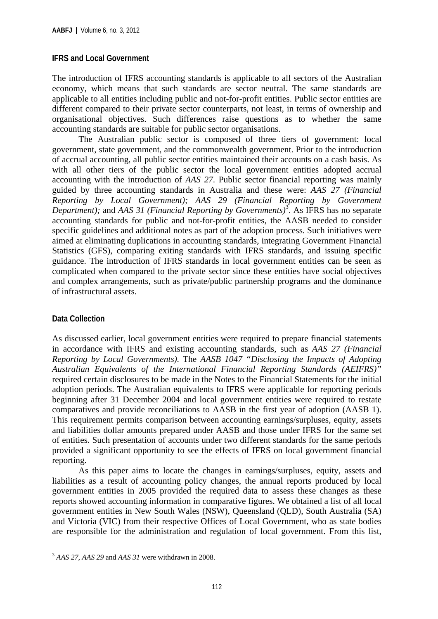#### **IFRS and Local Government**

The introduction of IFRS accounting standards is applicable to all sectors of the Australian economy, which means that such standards are sector neutral. The same standards are applicable to all entities including public and not-for-profit entities. Public sector entities are different compared to their private sector counterparts, not least, in terms of ownership and organisational objectives. Such differences raise questions as to whether the same accounting standards are suitable for public sector organisations.

The Australian public sector is composed of three tiers of government: local government, state government, and the commonwealth government. Prior to the introduction of accrual accounting, all public sector entities maintained their accounts on a cash basis. As with all other tiers of the public sector the local government entities adopted accrual accounting with the introduction of *AAS 27*. Public sector financial reporting was mainly guided by three accounting standards in Australia and these were: *AAS 27 (Financial Reporting by Local Government); AAS 29 (Financial Reporting by Government*  Department); and AAS 31 (Financial Reporting by Governments)<sup>3</sup>. As IFRS has no separate accounting standards for public and not-for-profit entities, the AASB needed to consider specific guidelines and additional notes as part of the adoption process. Such initiatives were aimed at eliminating duplications in accounting standards, integrating Government Financial Statistics (GFS), comparing exiting standards with IFRS standards, and issuing specific guidance. The introduction of IFRS standards in local government entities can be seen as complicated when compared to the private sector since these entities have social objectives and complex arrangements, such as private/public partnership programs and the dominance of infrastructural assets.

#### **Data Collection**

1

As discussed earlier, local government entities were required to prepare financial statements in accordance with IFRS and existing accounting standards, such as *AAS 27 (Financial Reporting by Local Governments)*. The *AASB 1047 "Disclosing the Impacts of Adopting Australian Equivalents of the International Financial Reporting Standards (AEIFRS)"*  required certain disclosures to be made in the Notes to the Financial Statements for the initial adoption periods. The Australian equivalents to IFRS were applicable for reporting periods beginning after 31 December 2004 and local government entities were required to restate comparatives and provide reconciliations to AASB in the first year of adoption (AASB 1). This requirement permits comparison between accounting earnings/surpluses, equity, assets and liabilities dollar amounts prepared under AASB and those under IFRS for the same set of entities. Such presentation of accounts under two different standards for the same periods provided a significant opportunity to see the effects of IFRS on local government financial reporting.

As this paper aims to locate the changes in earnings/surpluses, equity, assets and liabilities as a result of accounting policy changes, the annual reports produced by local government entities in 2005 provided the required data to assess these changes as these reports showed accounting information in comparative figures. We obtained a list of all local government entities in New South Wales (NSW), Queensland (QLD), South Australia (SA) and Victoria (VIC) from their respective Offices of Local Government, who as state bodies are responsible for the administration and regulation of local government. From this list,

<sup>3</sup> *AAS 27, AAS 29* and *AAS 31* were withdrawn in 2008.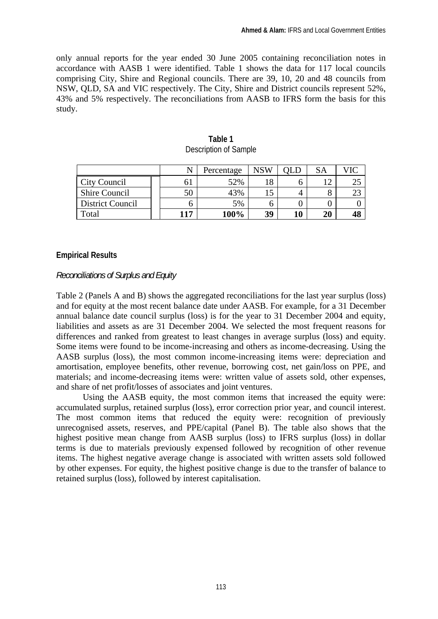only annual reports for the year ended 30 June 2005 containing reconciliation notes in accordance with AASB 1 were identified. Table 1 shows the data for 117 local councils comprising City, Shire and Regional councils. There are 39, 10, 20 and 48 councils from NSW, QLD, SA and VIC respectively. The City, Shire and District councils represent 52%, 43% and 5% respectively. The reconciliations from AASB to IFRS form the basis for this study.

|                      |     | Percentage | NSW       |    |     |    |
|----------------------|-----|------------|-----------|----|-----|----|
| <b>City Council</b>  | O J | 52%        | 18        |    | 1 ^ | 25 |
| <b>Shire Council</b> | 50  | 43%        | ے ہ<br>LJ |    |     | لک |
| District Council     |     | 5%         |           |    |     |    |
| Total                | 117 | 100%       | 39        | 10 | 20  | 48 |

**Table 1**  Description of Sample

#### **Empirical Results**

#### *Reconciliations of Surplus and Equity*

Table 2 (Panels A and B) shows the aggregated reconciliations for the last year surplus (loss) and for equity at the most recent balance date under AASB. For example, for a 31 December annual balance date council surplus (loss) is for the year to 31 December 2004 and equity, liabilities and assets as are 31 December 2004. We selected the most frequent reasons for differences and ranked from greatest to least changes in average surplus (loss) and equity. Some items were found to be income-increasing and others as income-decreasing. Using the AASB surplus (loss), the most common income-increasing items were: depreciation and amortisation, employee benefits, other revenue, borrowing cost, net gain/loss on PPE, and materials; and income-decreasing items were: written value of assets sold, other expenses, and share of net profit/losses of associates and joint ventures.

Using the AASB equity, the most common items that increased the equity were: accumulated surplus, retained surplus (loss), error correction prior year, and council interest. The most common items that reduced the equity were: recognition of previously unrecognised assets, reserves, and PPE/capital (Panel B). The table also shows that the highest positive mean change from AASB surplus (loss) to IFRS surplus (loss) in dollar terms is due to materials previously expensed followed by recognition of other revenue items. The highest negative average change is associated with written assets sold followed by other expenses. For equity, the highest positive change is due to the transfer of balance to retained surplus (loss), followed by interest capitalisation.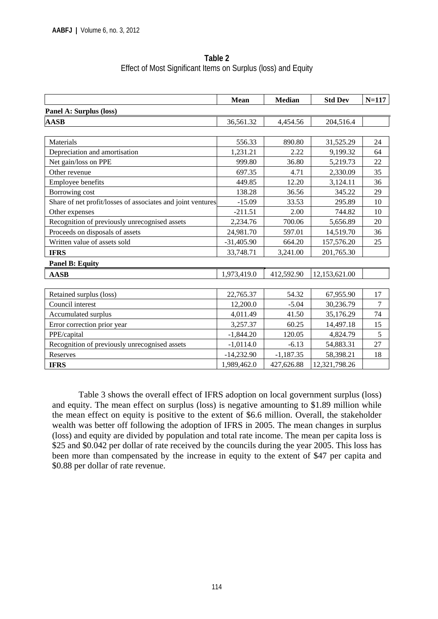| Table 2                                                       |
|---------------------------------------------------------------|
| Effect of Most Significant Items on Surplus (loss) and Equity |

|                                                             | <b>Mean</b>  | <b>Median</b> | <b>Std Dev</b> | $N = 117$ |
|-------------------------------------------------------------|--------------|---------------|----------------|-----------|
| Panel A: Surplus (loss)                                     |              |               |                |           |
| <b>AASB</b>                                                 | 36,561.32    | 4,454.56      | 204,516.4      |           |
|                                                             |              |               |                |           |
| Materials                                                   | 556.33       | 890.80        | 31,525.29      | 24        |
| Depreciation and amortisation                               | 1,231.21     | 2.22          | 9,199.32       | 64        |
| Net gain/loss on PPE                                        | 999.80       | 36.80         | 5,219.73       | 22        |
| Other revenue                                               | 697.35       | 4.71          | 2,330.09       | 35        |
| <b>Employee benefits</b>                                    | 449.85       | 12.20         | 3,124.11       | 36        |
| Borrowing cost                                              | 138.28       | 36.56         | 345.22         | 29        |
| Share of net profit/losses of associates and joint ventures | $-15.09$     | 33.53         | 295.89         | 10        |
| Other expenses                                              | $-211.51$    | 2.00          | 744.82         | 10        |
| Recognition of previously unrecognised assets               | 2,234.76     | 700.06        | 5,656.89       | 20        |
| Proceeds on disposals of assets                             | 24,981.70    | 597.01        | 14,519.70      | 36        |
| Written value of assets sold                                | $-31,405.90$ | 664.20        | 157,576.20     | 25        |
| <b>IFRS</b>                                                 | 33,748.71    | 3,241.00      | 201,765.30     |           |
| <b>Panel B: Equity</b>                                      |              |               |                |           |
| <b>AASB</b>                                                 | 1,973,419.0  | 412,592.90    | 12,153,621.00  |           |
|                                                             |              |               |                |           |
| Retained surplus (loss)                                     | 22,765.37    | 54.32         | 67,955.90      | 17        |
| Council interest                                            | 12,200.0     | $-5.04$       | 30,236.79      | 7         |
| Accumulated surplus                                         | 4,011.49     | 41.50         | 35,176.29      | 74        |
| Error correction prior year                                 | 3,257.37     | 60.25         | 14,497.18      | 15        |
| PPE/capital                                                 | $-1,844.20$  | 120.05        | 4,824.79       | 5         |
| Recognition of previously unrecognised assets               | $-1,0114.0$  | $-6.13$       | 54,883.31      | 27        |
| Reserves                                                    | $-14,232.90$ | $-1,187.35$   | 58,398.21      | 18        |
| <b>IFRS</b>                                                 | 1,989,462.0  | 427,626.88    | 12,321,798.26  |           |

Table 3 shows the overall effect of IFRS adoption on local government surplus (loss) and equity. The mean effect on surplus (loss) is negative amounting to \$1.89 million while the mean effect on equity is positive to the extent of \$6.6 million. Overall, the stakeholder wealth was better off following the adoption of IFRS in 2005. The mean changes in surplus (loss) and equity are divided by population and total rate income. The mean per capita loss is \$25 and \$0.042 per dollar of rate received by the councils during the year 2005. This loss has been more than compensated by the increase in equity to the extent of \$47 per capita and \$0.88 per dollar of rate revenue.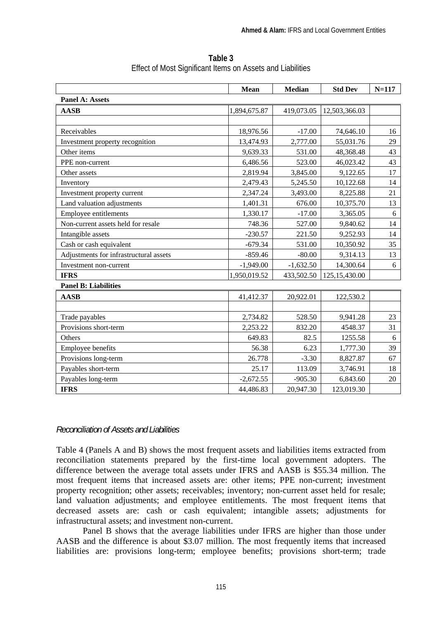|                                        | Mean         | <b>Median</b> | <b>Std Dev</b>  | $N = 117$ |  |
|----------------------------------------|--------------|---------------|-----------------|-----------|--|
| <b>Panel A: Assets</b>                 |              |               |                 |           |  |
| <b>AASB</b>                            | 1,894,675.87 | 419,073.05    | 12,503,366.03   |           |  |
|                                        |              |               |                 |           |  |
| Receivables                            | 18,976.56    | $-17.00$      | 74,646.10       | 16        |  |
| Investment property recognition        | 13,474.93    | 2,777.00      | 55,031.76       | 29        |  |
| Other items                            | 9,639.33     | 531.00        | 48,368.48       | 43        |  |
| PPE non-current                        | 6,486.56     | 523.00        | 46,023.42       | 43        |  |
| Other assets                           | 2,819.94     | 3,845.00      | 9,122.65        | 17        |  |
| Inventory                              | 2,479.43     | 5,245.50      | 10,122.68       | 14        |  |
| Investment property current            | 2,347.24     | 3,493.00      | 8,225.88        | 21        |  |
| Land valuation adjustments             | 1,401.31     | 676.00        | 10,375.70       | 13        |  |
| Employee entitlements                  | 1,330.17     | $-17.00$      | 3,365.05        | 6         |  |
| Non-current assets held for resale     | 748.36       | 527.00        | 9,840.62        | 14        |  |
| Intangible assets                      | $-230.57$    | 221.50        | 9,252.93        | 14        |  |
| Cash or cash equivalent                | $-679.34$    | 531.00        | 10,350.92       | 35        |  |
| Adjustments for infrastructural assets | $-859.46$    | $-80.00$      | 9,314.13        | 13        |  |
| Investment non-current                 | $-1,949.00$  | $-1,632.50$   | 14,300.64       | 6         |  |
| <b>IFRS</b>                            | 1,950,019.52 | 433,502.50    | 125, 15, 430.00 |           |  |
| <b>Panel B: Liabilities</b>            |              |               |                 |           |  |
| <b>AASB</b>                            | 41,412.37    | 20,922.01     | 122,530.2       |           |  |
|                                        |              |               |                 |           |  |
| Trade payables                         | 2,734.82     | 528.50        | 9,941.28        | 23        |  |
| Provisions short-term                  | 2,253.22     | 832.20        | 4548.37         | 31        |  |
| Others                                 | 649.83       | 82.5          | 1255.58         | 6         |  |
| Employee benefits                      | 56.38        | 6.23          | 1,777.30        | 39        |  |
| Provisions long-term                   | 26.778       | $-3.30$       | 8,827.87        | 67        |  |
| Payables short-term                    | 25.17        | 113.09        | 3,746.91        | 18        |  |
| Payables long-term                     | $-2,672.55$  | $-905.30$     | 6,843.60        | 20        |  |
| <b>IFRS</b>                            | 44,486.83    | 20,947.30     | 123,019.30      |           |  |

**Table 3**  Effect of Most Significant Items on Assets and Liabilities

#### *Reconciliation of Assets and Liabilities*

Table 4 (Panels A and B) shows the most frequent assets and liabilities items extracted from reconciliation statements prepared by the first-time local government adopters. The difference between the average total assets under IFRS and AASB is \$55.34 million. The most frequent items that increased assets are: other items; PPE non-current; investment property recognition; other assets; receivables; inventory; non-current asset held for resale; land valuation adjustments; and employee entitlements. The most frequent items that decreased assets are: cash or cash equivalent; intangible assets; adjustments for infrastructural assets; and investment non-current.

Panel B shows that the average liabilities under IFRS are higher than those under AASB and the difference is about \$3.07 million. The most frequently items that increased liabilities are: provisions long-term; employee benefits; provisions short-term; trade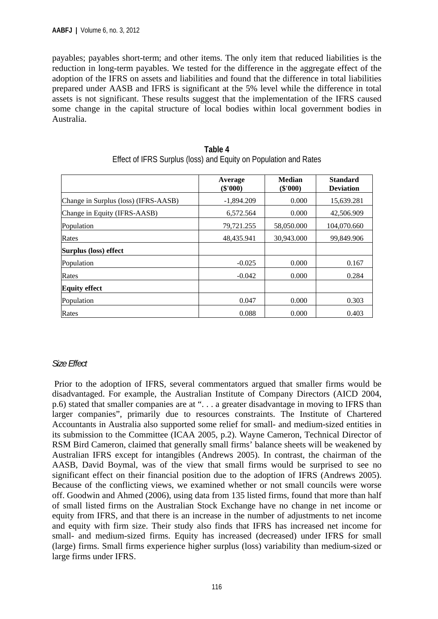payables; payables short-term; and other items. The only item that reduced liabilities is the reduction in long-term payables. We tested for the difference in the aggregate effect of the adoption of the IFRS on assets and liabilities and found that the difference in total liabilities prepared under AASB and IFRS is significant at the 5% level while the difference in total assets is not significant. These results suggest that the implementation of the IFRS caused some change in the capital structure of local bodies within local government bodies in Australia.

|                                      | Average<br>(\$'000) | <b>Median</b><br>$(\$'000)$ | <b>Standard</b><br><b>Deviation</b> |
|--------------------------------------|---------------------|-----------------------------|-------------------------------------|
| Change in Surplus (loss) (IFRS-AASB) | $-1.894.209$        | 0.000                       | 15,639.281                          |
| Change in Equity (IFRS-AASB)         | 6.572.564           | 0.000                       | 42,506.909                          |
| Population                           | 79,721.255          | 58,050.000                  | 104,070.660                         |
| Rates                                | 48,435.941          | 30,943.000                  | 99,849.906                          |
| Surplus (loss) effect                |                     |                             |                                     |
| Population                           | $-0.025$            | 0.000                       | 0.167                               |
| Rates                                | $-0.042$            | 0.000                       | 0.284                               |
| <b>Equity effect</b>                 |                     |                             |                                     |
| Population                           | 0.047               | 0.000                       | 0.303                               |
| Rates                                | 0.088               | 0.000                       | 0.403                               |

| Table 4                                                          |
|------------------------------------------------------------------|
| Effect of IFRS Surplus (loss) and Equity on Population and Rates |

#### *Size Effect*

Prior to the adoption of IFRS, several commentators argued that smaller firms would be disadvantaged. For example, the Australian Institute of Company Directors (AICD 2004, p.6) stated that smaller companies are at ". . . a greater disadvantage in moving to IFRS than larger companies", primarily due to resources constraints. The Institute of Chartered Accountants in Australia also supported some relief for small- and medium-sized entities in its submission to the Committee (ICAA 2005, p.2). Wayne Cameron, Technical Director of RSM Bird Cameron, claimed that generally small firms' balance sheets will be weakened by Australian IFRS except for intangibles (Andrews 2005). In contrast, the chairman of the AASB, David Boymal, was of the view that small firms would be surprised to see no significant effect on their financial position due to the adoption of IFRS (Andrews 2005). Because of the conflicting views, we examined whether or not small councils were worse off. Goodwin and Ahmed (2006), using data from 135 listed firms, found that more than half of small listed firms on the Australian Stock Exchange have no change in net income or equity from IFRS, and that there is an increase in the number of adjustments to net income and equity with firm size. Their study also finds that IFRS has increased net income for small- and medium-sized firms. Equity has increased (decreased) under IFRS for small (large) firms. Small firms experience higher surplus (loss) variability than medium-sized or large firms under IFRS.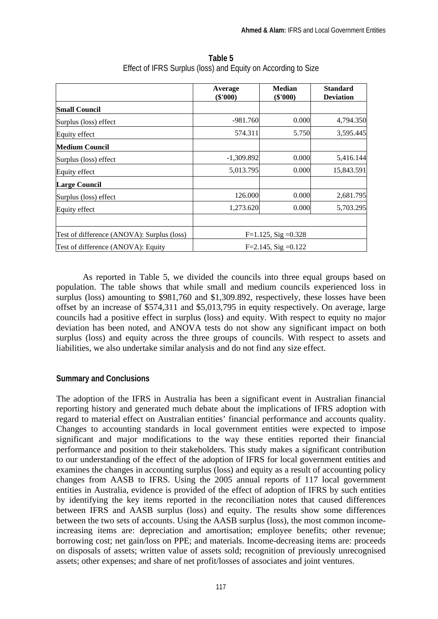|                                            | Average<br>$(\$'000)$   | <b>Median</b><br>$(\$'000)$ | <b>Standard</b><br><b>Deviation</b> |
|--------------------------------------------|-------------------------|-----------------------------|-------------------------------------|
| <b>Small Council</b>                       |                         |                             |                                     |
| Surplus (loss) effect                      | $-981.760$              | 0.000                       | 4,794.350                           |
| Equity effect                              | 574.311                 | 5.750                       | 3,595.445                           |
| <b>Medium Council</b>                      |                         |                             |                                     |
| Surplus (loss) effect                      | $-1,309.892$            | 0.000                       | 5,416.144                           |
| Equity effect                              | 5,013.795               | 0.000                       | 15,843.591                          |
| <b>Large Council</b>                       |                         |                             |                                     |
| Surplus (loss) effect                      | 126.000                 | 0.000                       | 2,681.795                           |
| Equity effect                              | 1,273.620               | 0.000                       | 5,703.295                           |
|                                            |                         |                             |                                     |
| Test of difference (ANOVA): Surplus (loss) | $F=1.125$ , Sig = 0.328 |                             |                                     |
| Test of difference (ANOVA): Equity         | $F=2.145$ , Sig = 0.122 |                             |                                     |

**Table 5**  Effect of IFRS Surplus (loss) and Equity on According to Size

As reported in Table 5, we divided the councils into three equal groups based on population. The table shows that while small and medium councils experienced loss in surplus (loss) amounting to \$981,760 and \$1,309.892, respectively, these losses have been offset by an increase of \$574,311 and \$5,013,795 in equity respectively. On average, large councils had a positive effect in surplus (loss) and equity. With respect to equity no major deviation has been noted, and ANOVA tests do not show any significant impact on both surplus (loss) and equity across the three groups of councils. With respect to assets and liabilities, we also undertake similar analysis and do not find any size effect.

#### **Summary and Conclusions**

The adoption of the IFRS in Australia has been a significant event in Australian financial reporting history and generated much debate about the implications of IFRS adoption with regard to material effect on Australian entities' financial performance and accounts quality. Changes to accounting standards in local government entities were expected to impose significant and major modifications to the way these entities reported their financial performance and position to their stakeholders. This study makes a significant contribution to our understanding of the effect of the adoption of IFRS for local government entities and examines the changes in accounting surplus (loss) and equity as a result of accounting policy changes from AASB to IFRS. Using the 2005 annual reports of 117 local government entities in Australia, evidence is provided of the effect of adoption of IFRS by such entities by identifying the key items reported in the reconciliation notes that caused differences between IFRS and AASB surplus (loss) and equity. The results show some differences between the two sets of accounts. Using the AASB surplus (loss), the most common incomeincreasing items are: depreciation and amortisation; employee benefits; other revenue; borrowing cost; net gain/loss on PPE; and materials. Income-decreasing items are: proceeds on disposals of assets; written value of assets sold; recognition of previously unrecognised assets; other expenses; and share of net profit/losses of associates and joint ventures.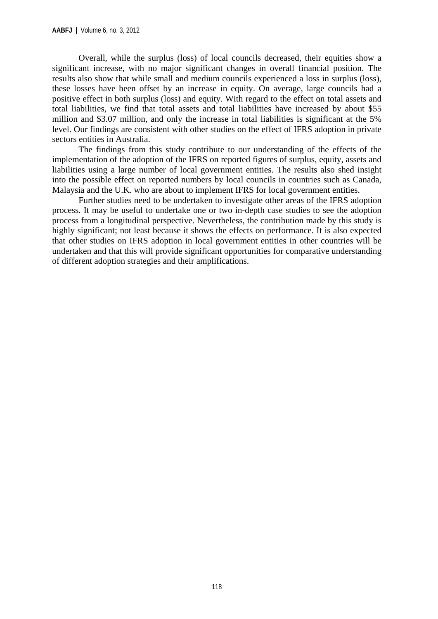Overall, while the surplus (loss) of local councils decreased, their equities show a significant increase, with no major significant changes in overall financial position. The results also show that while small and medium councils experienced a loss in surplus (loss), these losses have been offset by an increase in equity. On average, large councils had a positive effect in both surplus (loss) and equity. With regard to the effect on total assets and total liabilities, we find that total assets and total liabilities have increased by about \$55 million and \$3.07 million, and only the increase in total liabilities is significant at the 5% level. Our findings are consistent with other studies on the effect of IFRS adoption in private sectors entities in Australia.

The findings from this study contribute to our understanding of the effects of the implementation of the adoption of the IFRS on reported figures of surplus, equity, assets and liabilities using a large number of local government entities. The results also shed insight into the possible effect on reported numbers by local councils in countries such as Canada, Malaysia and the U.K. who are about to implement IFRS for local government entities.

Further studies need to be undertaken to investigate other areas of the IFRS adoption process. It may be useful to undertake one or two in-depth case studies to see the adoption process from a longitudinal perspective. Nevertheless, the contribution made by this study is highly significant; not least because it shows the effects on performance. It is also expected that other studies on IFRS adoption in local government entities in other countries will be undertaken and that this will provide significant opportunities for comparative understanding of different adoption strategies and their amplifications.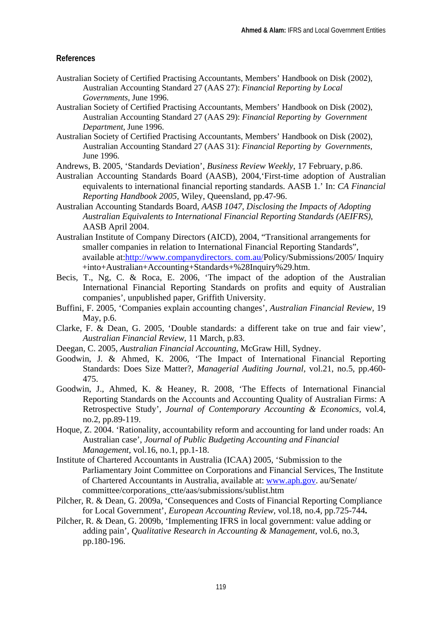#### **References**

- Australian Society of Certified Practising Accountants, Members' Handbook on Disk (2002), Australian Accounting Standard 27 (AAS 27): *Financial Reporting by Local Governments*, June 1996.
- Australian Society of Certified Practising Accountants, Members' Handbook on Disk (2002), Australian Accounting Standard 27 (AAS 29): *Financial Reporting by Government Department*, June 1996.
- Australian Society of Certified Practising Accountants, Members' Handbook on Disk (2002), Australian Accounting Standard 27 (AAS 31): *Financial Reporting by Governments*, June 1996.
- Andrews, B. 2005, 'Standards Deviation', *Business Review Weekly*, 17 February, p.86.
- Australian Accounting Standards Board (AASB), 2004,'First-time adoption of Australian equivalents to international financial reporting standards. AASB 1.' In: *CA Financial Reporting Handbook 2005,* Wiley, Queensland, pp.47-96.
- Australian Accounting Standards Board, *AASB 1047, Disclosing the Impacts of Adopting Australian Equivalents to International Financial Reporting Standards (AEIFRS)*, AASB April 2004.
- Australian Institute of Company Directors (AICD), 2004, "Transitional arrangements for smaller companies in relation to International Financial Reporting Standards", available at:http://www.companydirectors. com.au/Policy/Submissions/2005/ Inquiry +into+Australian+Accounting+Standards+%28Inquiry%29.htm.
- Becis, T., Ng, C. & Roca, E. 2006, 'The impact of the adoption of the Australian International Financial Reporting Standards on profits and equity of Australian companies', unpublished paper, Griffith University.
- Buffini, F. 2005, 'Companies explain accounting changes', *Australian Financial Review*, 19 May, p.6.
- Clarke, F. & Dean, G. 2005, 'Double standards: a different take on true and fair view', *Australian Financial Review*, 11 March, p.83.
- Deegan, C. 2005, *Australian Financial Accounting,* McGraw Hill, Sydney.
- Goodwin, J. & Ahmed, K. 2006, 'The Impact of International Financial Reporting Standards: Does Size Matter?, *Managerial Auditing Journal,* vol.21, no.5, pp.460- 475.
- Goodwin, J., Ahmed, K. & Heaney, R. 2008, 'The Effects of International Financial Reporting Standards on the Accounts and Accounting Quality of Australian Firms: A Retrospective Study', *Journal of Contemporary Accounting & Economics,* vol.4, no.2, pp.89-119.
- Hoque, Z. 2004. 'Rationality, accountability reform and accounting for land under roads: An Australian case', *Journal of Public Budgeting Accounting and Financial Management*, vol.16, no.1, pp.1-18.
- Institute of Chartered Accountants in Australia (ICAA) 2005, 'Submission to the Parliamentary Joint Committee on Corporations and Financial Services, The Institute of Chartered Accountants in Australia, available at: www.aph.gov. au/Senate/ committee/corporations\_ctte/aas/submissions/sublist.htm
- Pilcher, R. & Dean, G. 2009a, 'Consequences and Costs of Financial Reporting Compliance for Local Government', *European Accounting Review*, vol.18, no.4, pp.725-744**.**
- Pilcher, R. & Dean, G. 2009b, 'Implementing IFRS in local government: value adding or adding pain', *Qualitative Research in Accounting & Management*, vol.6, no.3, pp.180-196.